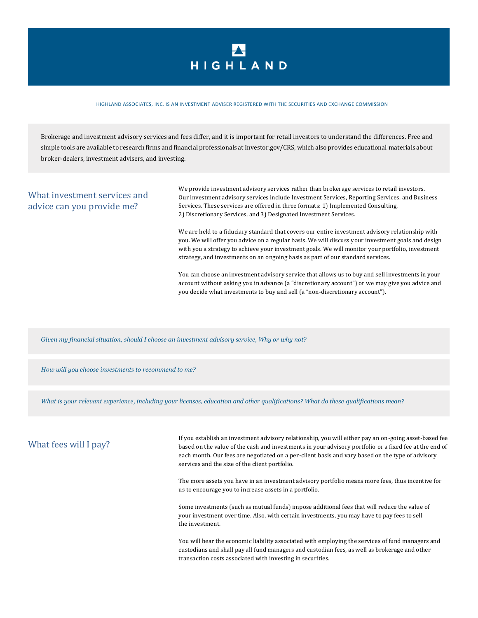## HIGHLAND

## HIGHLAND ASSOCIATES, INC. IS AN INVESTMENT ADVISER REGISTERED WITH THE SECURITIES AND EXCHANGE COMMISSION

Brokerage and investment advisory services and fees differ, and it is important for retail investors to understand the differences. Free and simple tools are available to research firms and financial professionals at Investor.gov/CRS, which also provides educational materials about broker-dealers, investment advisers, and investing.

## What investment services and advice can you provide me?

We provide investment advisory services rather than brokerage services to retail investors. Our investment advisory services include Investment Services, Reporting Services, and Business Services. These services are offered in three formats: 1) Implemented Consulting, 2) Discretionary Services, and 3) Designated Investment Services.

We are held to a fiduciary standard that covers our entire investment advisory relationship with you. We will offer you advice on a regular basis. We will discuss your investment goals and design with you a strategy to achieve your investment goals. We will monitor your portfolio, investment strategy, and investments on an ongoing basis as part of our standard services.

You can choose an investment advisory service that allows us to buy and sell investments in your account without asking you in advance (a "discretionary account") or we may give you advice and you decide what investments to buy and sell (a "non-discretionary account").

*Given my financial situation, should I choose an investment advisory service, Why or why not?*

*How will you choose investments to recommend to me?*

*What is your relevant experience, including your licenses, education and other qualifications? What do these qualifications mean?*

## What fees will I pay?

If you establish an investment advisory relationship, you will either pay an on-going asset-based fee based on the value of the cash and investments in your advisory portfolio or a fixed fee at the end of each month. Our fees are negotiated on a per-client basis and vary based on the type of advisory services and the size of the client portfolio.

The more assets you have in an investment advisory portfolio means more fees, thus incentive for us to encourage you to increase assets in a portfolio.

Some investments (such as mutual funds) impose additional fees that will reduce the value of your investment over time. Also, with certain investments, you may have to pay fees to sell the investment.

You will bear the economic liability associated with employing the services of fund managers and custodians and shall pay all fund managers and custodian fees, as well as brokerage and other transaction costs associated with investing in securities.